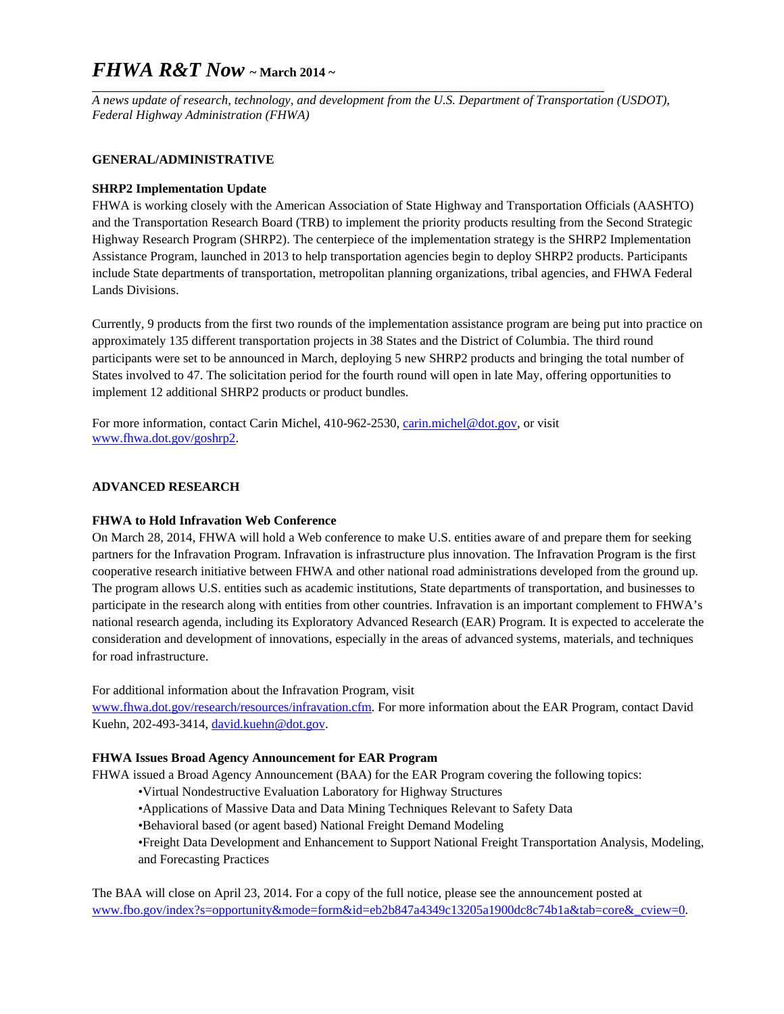# *FHWA R&T Now* **~ March 2014 ~**

**\_\_\_\_\_\_\_\_\_\_\_\_\_\_\_\_\_\_\_\_\_\_\_\_\_\_\_\_\_\_\_\_\_\_\_\_\_\_\_\_\_\_\_\_\_\_\_\_\_\_\_\_\_\_\_\_\_\_\_\_\_\_\_\_\_\_\_\_\_\_\_\_\_\_\_\_\_\_\_\_\_\_\_\_\_\_\_\_\_\_\_\_\_\_\_\_\_\_\_\_**  *A news update of research, technology, and development from the U.S. Department of Transportation (USDOT), Federal Highway Administration (FHWA)* 

## **GENERAL/ADMINISTRATIVE**

## **SHRP2 Implementation Update**

FHWA is working closely with the American Association of State Highway and Transportation Officials (AASHTO) and the Transportation Research Board (TRB) to implement the priority products resulting from the Second Strategic Highway Research Program (SHRP2). The centerpiece of the implementation strategy is the SHRP2 Implementation Assistance Program, launched in 2013 to help transportation agencies begin to deploy SHRP2 products. Participants include State departments of transportation, metropolitan planning organizations, tribal agencies, and FHWA Federal Lands Divisions.

Currently, 9 products from the first two rounds of the implementation assistance program are being put into practice on approximately 135 different transportation projects in 38 States and the District of Columbia. The third round participants were set to be announced in March, deploying 5 new SHRP2 products and bringing the total number of States involved to 47. The solicitation period for the fourth round will open in late May, offering opportunities to implement 12 additional SHRP2 products or product bundles.

For more information, contact Carin Michel, 410-962-2530, carin.michel@dot.gov, or visit www.fhwa.dot.gov/goshrp2.

#### **ADVANCED RESEARCH**

#### **FHWA to Hold Infravation Web Conference**

On March 28, 2014, FHWA will hold a Web conference to make U.S. entities aware of and prepare them for seeking partners for the Infravation Program. Infravation is infrastructure plus innovation. The Infravation Program is the first cooperative research initiative between FHWA and other national road administrations developed from the ground up. The program allows U.S. entities such as academic institutions, State departments of transportation, and businesses to participate in the research along with entities from other countries. Infravation is an important complement to FHWA's national research agenda, including its Exploratory Advanced Research (EAR) Program. It is expected to accelerate the consideration and development of innovations, especially in the areas of advanced systems, materials, and techniques for road infrastructure.

For additional information about the Infravation Program, visit

www.fhwa.dot.gov/research/resources/infravation.cfm. For more information about the EAR Program, contact David Kuehn, 202-493-3414, david.kuehn@dot.gov.

#### **FHWA Issues Broad Agency Announcement for EAR Program**

FHWA issued a Broad Agency Announcement (BAA) for the EAR Program covering the following topics:

- •Virtual Nondestructive Evaluation Laboratory for Highway Structures
- •Applications of Massive Data and Data Mining Techniques Relevant to Safety Data

•Behavioral based (or agent based) National Freight Demand Modeling

•Freight Data Development and Enhancement to Support National Freight Transportation Analysis, Modeling, and Forecasting Practices

The BAA will close on April 23, 2014. For a copy of the full notice, please see the announcement posted at www.fbo.gov/index?s=opportunity&mode=form&id=eb2b847a4349c13205a1900dc8c74b1a&tab=core&\_cview=0.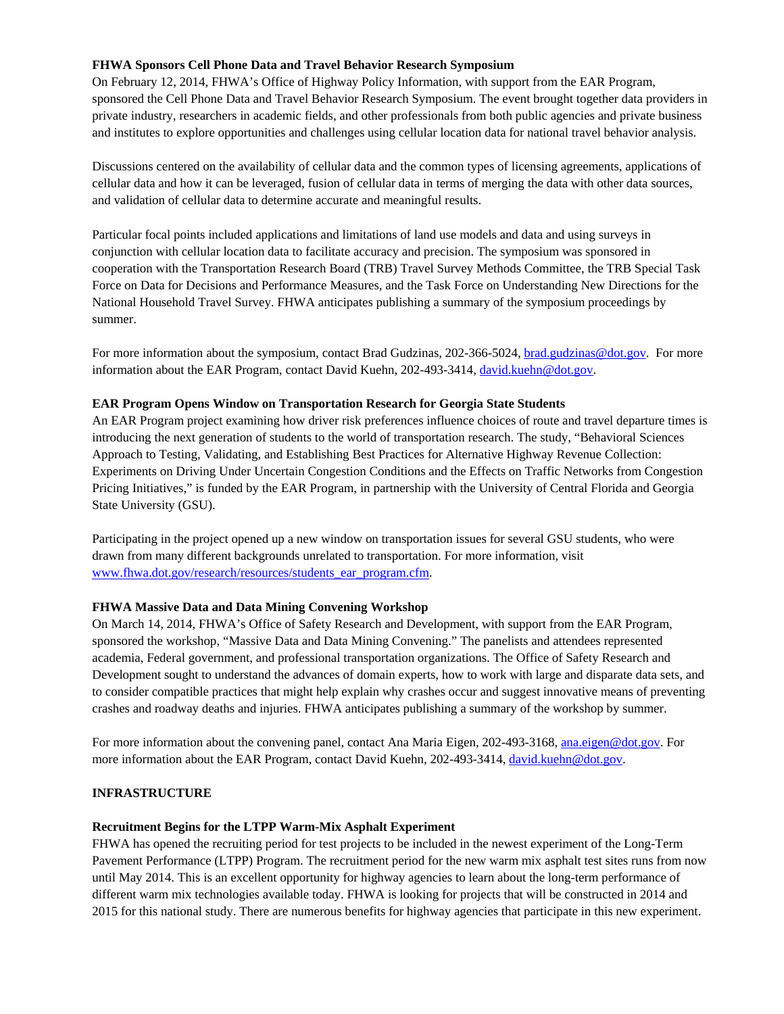#### **FHWA Sponsors Cell Phone Data and Travel Behavior Research Symposium**

On February 12, 2014, FHWA's Office of Highway Policy Information, with support from the EAR Program, sponsored the Cell Phone Data and Travel Behavior Research Symposium. The event brought together data providers in private industry, researchers in academic fields, and other professionals from both public agencies and private business and institutes to explore opportunities and challenges using cellular location data for national travel behavior analysis.

Discussions centered on the availability of cellular data and the common types of licensing agreements, applications of cellular data and how it can be leveraged, fusion of cellular data in terms of merging the data with other data sources, and validation of cellular data to determine accurate and meaningful results.

Particular focal points included applications and limitations of land use models and data and using surveys in conjunction with cellular location data to facilitate accuracy and precision. The symposium was sponsored in cooperation with the Transportation Research Board (TRB) Travel Survey Methods Committee, the TRB Special Task Force on Data for Decisions and Performance Measures, and the Task Force on Understanding New Directions for the National Household Travel Survey. FHWA anticipates publishing a summary of the symposium proceedings by summer.

For more information about the symposium, contact Brad Gudzinas, 202-366-5024, brad.gudzinas@dot.gov. For more information about the EAR Program, contact David Kuehn, 202-493-3414, david.kuehn@dot.gov.

#### **EAR Program Opens Window on Transportation Research for Georgia State Students**

An EAR Program project examining how driver risk preferences influence choices of route and travel departure times is introducing the next generation of students to the world of transportation research. The study, "Behavioral Sciences Approach to Testing, Validating, and Establishing Best Practices for Alternative Highway Revenue Collection: Experiments on Driving Under Uncertain Congestion Conditions and the Effects on Traffic Networks from Congestion Pricing Initiatives," is funded by the EAR Program, in partnership with the University of Central Florida and Georgia State University (GSU).

Participating in the project opened up a new window on transportation issues for several GSU students, who were drawn from many different backgrounds unrelated to transportation. For more information, visit www.fhwa.dot.gov/research/resources/students\_ear\_program.cfm.

#### **FHWA Massive Data and Data Mining Convening Workshop**

On March 14, 2014, FHWA's Office of Safety Research and Development, with support from the EAR Program, sponsored the workshop, "Massive Data and Data Mining Convening." The panelists and attendees represented academia, Federal government, and professional transportation organizations. The Office of Safety Research and Development sought to understand the advances of domain experts, how to work with large and disparate data sets, and to consider compatible practices that might help explain why crashes occur and suggest innovative means of preventing crashes and roadway deaths and injuries. FHWA anticipates publishing a summary of the workshop by summer.

For more information about the convening panel, contact Ana Maria Eigen, 202-493-3168, ana.eigen@dot.gov. For more information about the EAR Program, contact David Kuehn, 202-493-3414, david.kuehn@dot.gov.

#### **INFRASTRUCTURE**

#### **Recruitment Begins for the LTPP Warm-Mix Asphalt Experiment**

FHWA has opened the recruiting period for test projects to be included in the newest experiment of the Long-Term Pavement Performance (LTPP) Program. The recruitment period for the new warm mix asphalt test sites runs from now until May 2014. This is an excellent opportunity for highway agencies to learn about the long-term performance of different warm mix technologies available today. FHWA is looking for projects that will be constructed in 2014 and 2015 for this national study. There are numerous benefits for highway agencies that participate in this new experiment.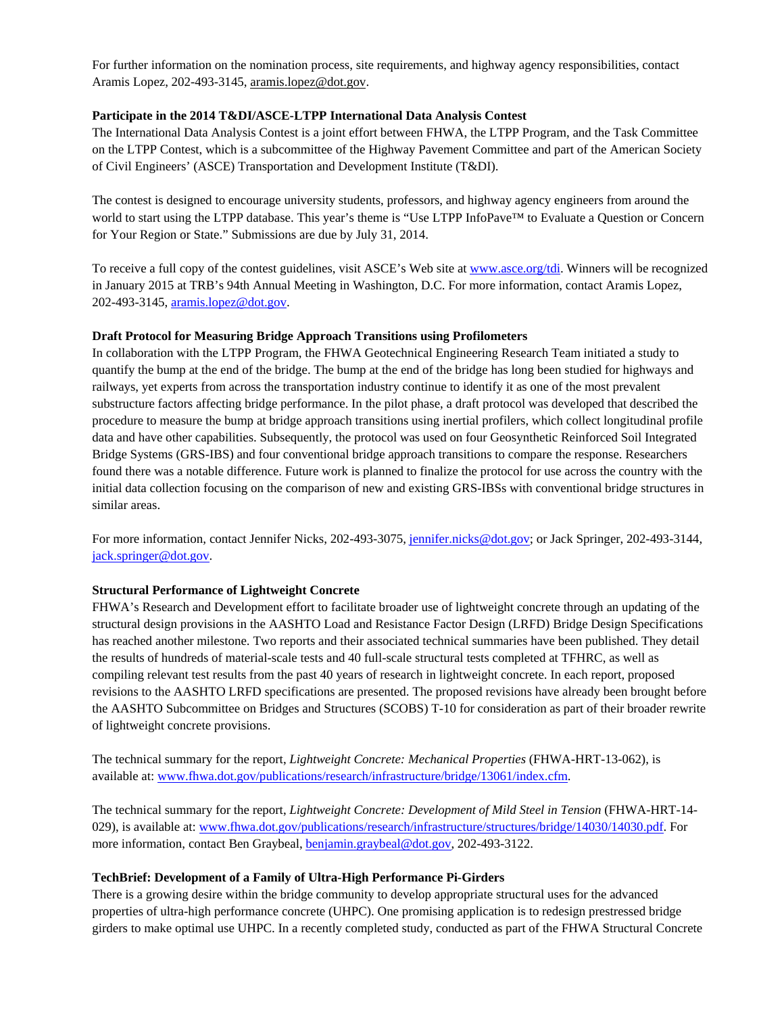For further information on the nomination process, site requirements, and highway agency responsibilities, contact Aramis Lopez, 202-493-3145, aramis.lopez@dot.gov.

#### **Participate in the 2014 T&DI/ASCE-LTPP International Data Analysis Contest**

The International Data Analysis Contest is a joint effort between FHWA, the LTPP Program, and the Task Committee on the LTPP Contest, which is a subcommittee of the Highway Pavement Committee and part of the American Society of Civil Engineers' (ASCE) Transportation and Development Institute (T&DI).

The contest is designed to encourage university students, professors, and highway agency engineers from around the world to start using the LTPP database. This year's theme is "Use LTPP InfoPave™ to Evaluate a Question or Concern for Your Region or State." Submissions are due by July 31, 2014.

To receive a full copy of the contest guidelines, visit ASCE's Web site at www.asce.org/tdi. Winners will be recognized in January 2015 at TRB's 94th Annual Meeting in Washington, D.C. For more information, contact Aramis Lopez, 202-493-3145, aramis.lopez@dot.gov.

#### **Draft Protocol for Measuring Bridge Approach Transitions using Profilometers**

In collaboration with the LTPP Program, the FHWA Geotechnical Engineering Research Team initiated a study to quantify the bump at the end of the bridge. The bump at the end of the bridge has long been studied for highways and railways, yet experts from across the transportation industry continue to identify it as one of the most prevalent substructure factors affecting bridge performance. In the pilot phase, a draft protocol was developed that described the procedure to measure the bump at bridge approach transitions using inertial profilers, which collect longitudinal profile data and have other capabilities. Subsequently, the protocol was used on four Geosynthetic Reinforced Soil Integrated Bridge Systems (GRS-IBS) and four conventional bridge approach transitions to compare the response. Researchers found there was a notable difference. Future work is planned to finalize the protocol for use across the country with the initial data collection focusing on the comparison of new and existing GRS-IBSs with conventional bridge structures in similar areas.

For more information, contact Jennifer Nicks, 202-493-3075, jennifer.nicks@dot.gov; or Jack Springer, 202-493-3144, jack.springer@dot.gov.

#### **Structural Performance of Lightweight Concrete**

FHWA's Research and Development effort to facilitate broader use of lightweight concrete through an updating of the structural design provisions in the AASHTO Load and Resistance Factor Design (LRFD) Bridge Design Specifications has reached another milestone. Two reports and their associated technical summaries have been published. They detail the results of hundreds of material-scale tests and 40 full-scale structural tests completed at TFHRC, as well as compiling relevant test results from the past 40 years of research in lightweight concrete. In each report, proposed revisions to the AASHTO LRFD specifications are presented. The proposed revisions have already been brought before the AASHTO Subcommittee on Bridges and Structures (SCOBS) T-10 for consideration as part of their broader rewrite of lightweight concrete provisions.

The technical summary for the report, *Lightweight Concrete: Mechanical Properties* (FHWA-HRT-13-062), is available at: www.fhwa.dot.gov/publications/research/infrastructure/bridge/13061/index.cfm.

The technical summary for the report, *Lightweight Concrete: Development of Mild Steel in Tension* (FHWA-HRT-14- 029), is available at: www.fhwa.dot.gov/publications/research/infrastructure/structures/bridge/14030/14030.pdf. For more information, contact Ben Graybeal, benjamin.graybeal@dot.gov, 202-493-3122.

#### **TechBrief: Development of a Family of Ultra-High Performance Pi-Girders**

There is a growing desire within the bridge community to develop appropriate structural uses for the advanced properties of ultra-high performance concrete (UHPC). One promising application is to redesign prestressed bridge girders to make optimal use UHPC. In a recently completed study, conducted as part of the FHWA Structural Concrete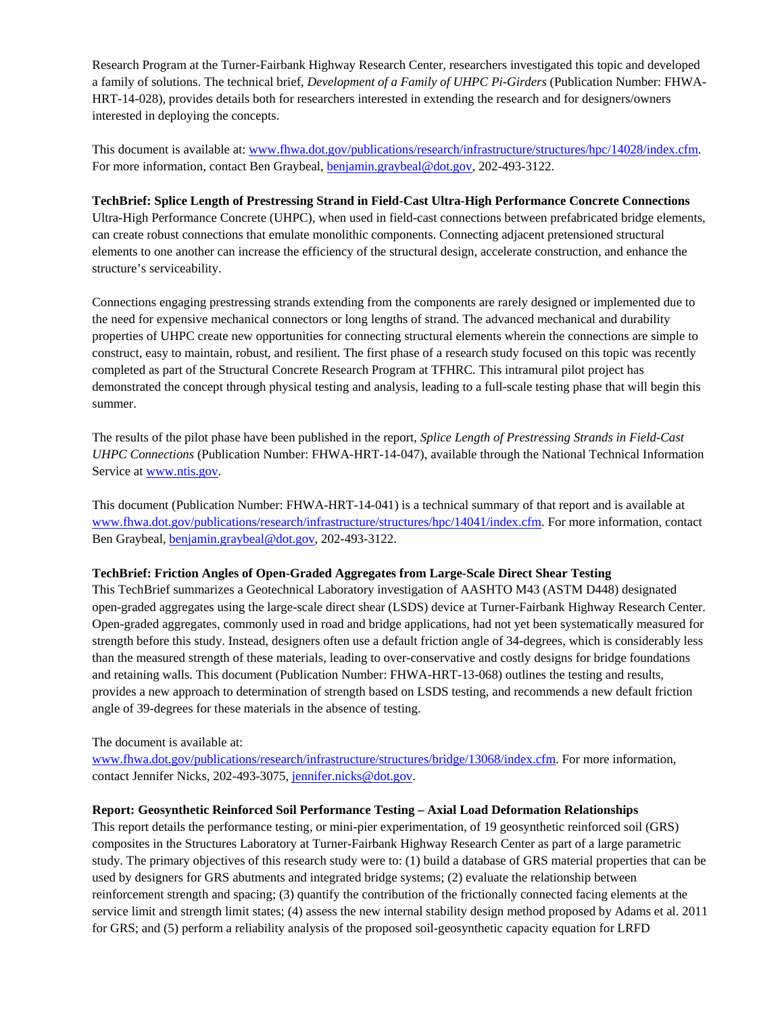Research Program at the Turner-Fairbank Highway Research Center, researchers investigated this topic and developed a family of solutions. The technical brief, *Development of a Family of UHPC Pi-Girders* (Publication Number: FHWA-HRT-14-028), provides details both for researchers interested in extending the research and for designers/owners interested in deploying the concepts.

This document is available at: www.fhwa.dot.gov/publications/research/infrastructure/structures/hpc/14028/index.cfm. For more information, contact Ben Graybeal, benjamin.graybeal@dot.gov, 202-493-3122.

## **TechBrief: Splice Length of Prestressing Strand in Field-Cast Ultra-High Performance Concrete Connections**

Ultra-High Performance Concrete (UHPC), when used in field-cast connections between prefabricated bridge elements, can create robust connections that emulate monolithic components. Connecting adjacent pretensioned structural elements to one another can increase the efficiency of the structural design, accelerate construction, and enhance the structure's serviceability.

Connections engaging prestressing strands extending from the components are rarely designed or implemented due to the need for expensive mechanical connectors or long lengths of strand. The advanced mechanical and durability properties of UHPC create new opportunities for connecting structural elements wherein the connections are simple to construct, easy to maintain, robust, and resilient. The first phase of a research study focused on this topic was recently completed as part of the Structural Concrete Research Program at TFHRC. This intramural pilot project has demonstrated the concept through physical testing and analysis, leading to a full-scale testing phase that will begin this summer.

The results of the pilot phase have been published in the report, *Splice Length of Prestressing Strands in Field-Cast UHPC Connections* (Publication Number: FHWA-HRT-14-047), available through the National Technical Information Service at www.ntis.gov.

This document (Publication Number: FHWA-HRT-14-041) is a technical summary of that report and is available at www.fhwa.dot.gov/publications/research/infrastructure/structures/hpc/14041/index.cfm. For more information, contact Ben Graybeal, benjamin.graybeal@dot.gov, 202-493-3122.

#### **TechBrief: Friction Angles of Open-Graded Aggregates from Large-Scale Direct Shear Testing**

This TechBrief summarizes a Geotechnical Laboratory investigation of AASHTO M43 (ASTM D448) designated open-graded aggregates using the large-scale direct shear (LSDS) device at Turner-Fairbank Highway Research Center. Open-graded aggregates, commonly used in road and bridge applications, had not yet been systematically measured for strength before this study. Instead, designers often use a default friction angle of 34-degrees, which is considerably less than the measured strength of these materials, leading to over-conservative and costly designs for bridge foundations and retaining walls. This document (Publication Number: FHWA-HRT-13-068) outlines the testing and results, provides a new approach to determination of strength based on LSDS testing, and recommends a new default friction angle of 39-degrees for these materials in the absence of testing.

The document is available at:

www.fhwa.dot.gov/publications/research/infrastructure/structures/bridge/13068/index.cfm. For more information, contact Jennifer Nicks, 202-493-3075, jennifer.nicks@dot.gov.

## **Report: Geosynthetic Reinforced Soil Performance Testing – Axial Load Deformation Relationships**

This report details the performance testing, or mini-pier experimentation, of 19 geosynthetic reinforced soil (GRS) composites in the Structures Laboratory at Turner-Fairbank Highway Research Center as part of a large parametric study. The primary objectives of this research study were to: (1) build a database of GRS material properties that can be used by designers for GRS abutments and integrated bridge systems; (2) evaluate the relationship between reinforcement strength and spacing; (3) quantify the contribution of the frictionally connected facing elements at the service limit and strength limit states; (4) assess the new internal stability design method proposed by Adams et al. 2011 for GRS; and (5) perform a reliability analysis of the proposed soil-geosynthetic capacity equation for LRFD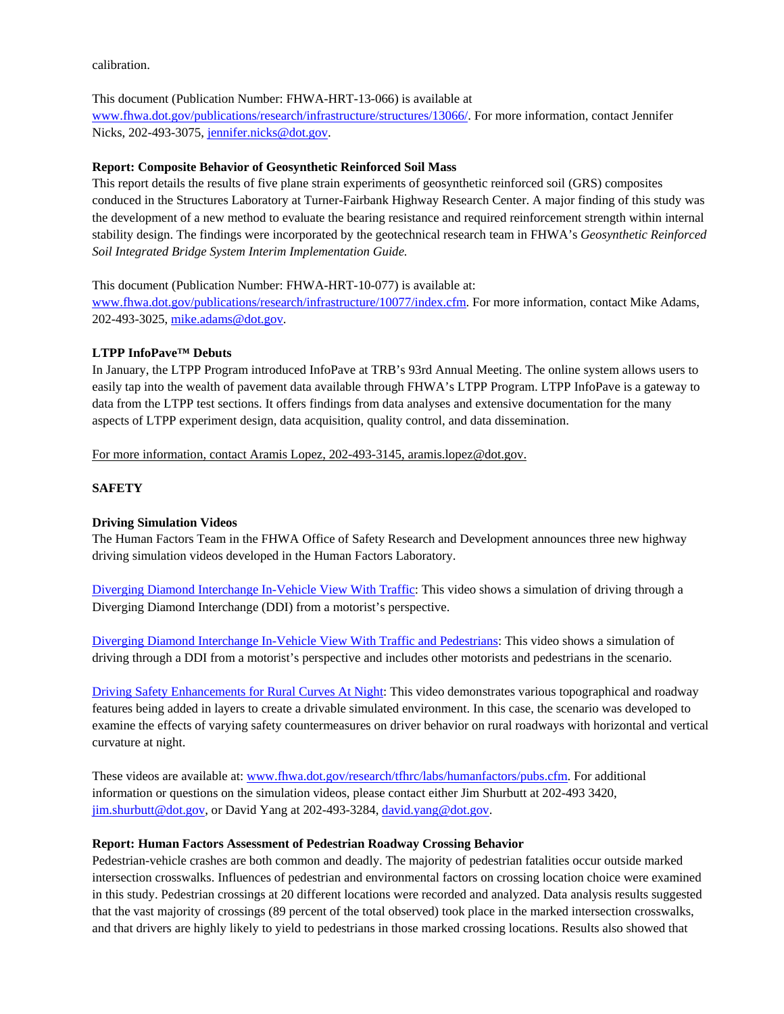calibration.

#### This document (Publication Number: FHWA-HRT-13-066) is available at

www.fhwa.dot.gov/publications/research/infrastructure/structures/13066/. For more information, contact Jennifer Nicks, 202-493-3075, jennifer.nicks@dot.gov.

#### **Report: Composite Behavior of Geosynthetic Reinforced Soil Mass**

This report details the results of five plane strain experiments of geosynthetic reinforced soil (GRS) composites conduced in the Structures Laboratory at Turner-Fairbank Highway Research Center. A major finding of this study was the development of a new method to evaluate the bearing resistance and required reinforcement strength within internal stability design. The findings were incorporated by the geotechnical research team in FHWA's *Geosynthetic Reinforced Soil Integrated Bridge System Interim Implementation Guide.*

This document (Publication Number: FHWA-HRT-10-077) is available at:

www.fhwa.dot.gov/publications/research/infrastructure/10077/index.cfm. For more information, contact Mike Adams, 202-493-3025, mike.adams@dot.gov.

#### **LTPP InfoPave™ Debuts**

In January, the LTPP Program introduced InfoPave at TRB's 93rd Annual Meeting. The online system allows users to easily tap into the wealth of pavement data available through FHWA's LTPP Program. LTPP InfoPave is a gateway to data from the LTPP test sections. It offers findings from data analyses and extensive documentation for the many aspects of LTPP experiment design, data acquisition, quality control, and data dissemination.

For more information, contact Aramis Lopez, 202-493-3145, aramis.lopez@dot.gov.

#### **SAFETY**

#### **Driving Simulation Videos**

The Human Factors Team in the FHWA Office of Safety Research and Development announces three new highway driving simulation videos developed in the Human Factors Laboratory.

Diverging Diamond Interchange In-Vehicle View With Traffic: This video shows a simulation of driving through a Diverging Diamond Interchange (DDI) from a motorist's perspective.

Diverging Diamond Interchange In-Vehicle View With Traffic and Pedestrians: This video shows a simulation of driving through a DDI from a motorist's perspective and includes other motorists and pedestrians in the scenario.

Driving Safety Enhancements for Rural Curves At Night: This video demonstrates various topographical and roadway features being added in layers to create a drivable simulated environment. In this case, the scenario was developed to examine the effects of varying safety countermeasures on driver behavior on rural roadways with horizontal and vertical curvature at night.

These videos are available at: www.fhwa.dot.gov/research/tfhrc/labs/humanfactors/pubs.cfm. For additional information or questions on the simulation videos, please contact either Jim Shurbutt at 202-493 3420, jim.shurbutt@dot.gov, or David Yang at 202-493-3284, david.yang@dot.gov.

#### **Report: Human Factors Assessment of Pedestrian Roadway Crossing Behavior**

Pedestrian-vehicle crashes are both common and deadly. The majority of pedestrian fatalities occur outside marked intersection crosswalks. Influences of pedestrian and environmental factors on crossing location choice were examined in this study. Pedestrian crossings at 20 different locations were recorded and analyzed. Data analysis results suggested that the vast majority of crossings (89 percent of the total observed) took place in the marked intersection crosswalks, and that drivers are highly likely to yield to pedestrians in those marked crossing locations. Results also showed that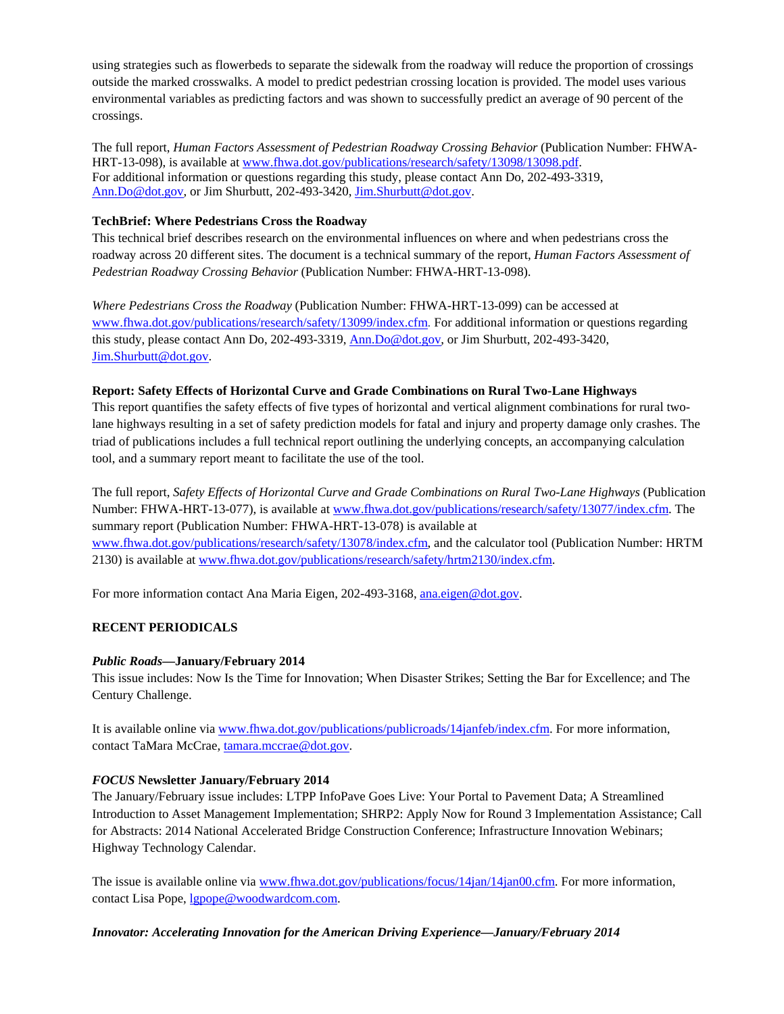using strategies such as flowerbeds to separate the sidewalk from the roadway will reduce the proportion of crossings outside the marked crosswalks. A model to predict pedestrian crossing location is provided. The model uses various environmental variables as predicting factors and was shown to successfully predict an average of 90 percent of the crossings.

The full report, *Human Factors Assessment of Pedestrian Roadway Crossing Behavior* (Publication Number: FHWA-HRT-13-098), is available at www.fhwa.dot.gov/publications/research/safety/13098/13098.pdf. For additional information or questions regarding this study, please contact Ann Do, 202-493-3319, Ann.Do@dot.gov, or Jim Shurbutt, 202-493-3420, Jim.Shurbutt@dot.gov.

## **TechBrief: Where Pedestrians Cross the Roadway**

This technical brief describes research on the environmental influences on where and when pedestrians cross the roadway across 20 different sites. The document is a technical summary of the report, *Human Factors Assessment of Pedestrian Roadway Crossing Behavior* (Publication Number: FHWA-HRT-13-098).

*Where Pedestrians Cross the Roadway* (Publication Number: FHWA-HRT-13-099) can be accessed at www.fhwa.dot.gov/publications/research/safety/13099/index.cfm. For additional information or questions regarding this study, please contact Ann Do, 202-493-3319, Ann.Do@dot.gov, or Jim Shurbutt, 202-493-3420, Jim.Shurbutt@dot.gov.

## **Report: Safety Effects of Horizontal Curve and Grade Combinations on Rural Two-Lane Highways**

This report quantifies the safety effects of five types of horizontal and vertical alignment combinations for rural twolane highways resulting in a set of safety prediction models for fatal and injury and property damage only crashes. The triad of publications includes a full technical report outlining the underlying concepts, an accompanying calculation tool, and a summary report meant to facilitate the use of the tool.

The full report, *Safety Effects of Horizontal Curve and Grade Combinations on Rural Two-Lane Highways* (Publication Number: FHWA-HRT-13-077), is available at www.fhwa.dot.gov/publications/research/safety/13077/index.cfm. The summary report (Publication Number: FHWA-HRT-13-078) is available at www.fhwa.dot.gov/publications/research/safety/13078/index.cfm, and the calculator tool (Publication Number: HRTM 2130) is available at www.fhwa.dot.gov/publications/research/safety/hrtm2130/index.cfm.

For more information contact Ana Maria Eigen, 202-493-3168, ana.eigen@dot.gov.

## **RECENT PERIODICALS**

#### *Public Roads***—January/February 2014**

This issue includes: Now Is the Time for Innovation; When Disaster Strikes; Setting the Bar for Excellence; and The Century Challenge.

It is available online via www.fhwa.dot.gov/publications/publicroads/14janfeb/index.cfm. For more information, contact TaMara McCrae, tamara.mccrae@dot.gov.

#### *FOCUS* **Newsletter January/February 2014**

The January/February issue includes: LTPP InfoPave Goes Live: Your Portal to Pavement Data; A Streamlined Introduction to Asset Management Implementation; SHRP2: Apply Now for Round 3 Implementation Assistance; Call for Abstracts: 2014 National Accelerated Bridge Construction Conference; Infrastructure Innovation Webinars; Highway Technology Calendar.

The issue is available online via www.fhwa.dot.gov/publications/focus/14jan/14jan00.cfm. For more information, contact Lisa Pope, lgpope@woodwardcom.com.

#### *Innovator: Accelerating Innovation for the American Driving Experience—January/February 2014*